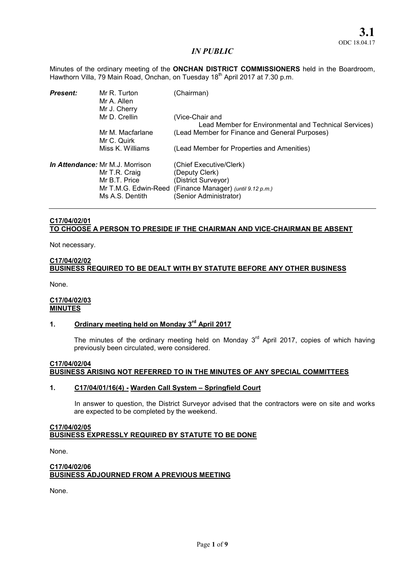Minutes of the ordinary meeting of the **ONCHAN DISTRICT COMMISSIONERS** held in the Boardroom, Hawthorn Villa, 79 Main Road, Onchan, on Tuesday 18<sup>th</sup> April 2017 at 7.30 p.m.

| <b>Present:</b> | Mr R. Turton<br>Mr A. Allen<br>Mr J. Cherry                                                                  | (Chairman)                                                                                                                        |
|-----------------|--------------------------------------------------------------------------------------------------------------|-----------------------------------------------------------------------------------------------------------------------------------|
|                 | Mr D. Crellin                                                                                                | (Vice-Chair and<br>Lead Member for Environmental and Technical Services)                                                          |
|                 | Mr M. Macfarlane<br>Mr C. Quirk                                                                              | (Lead Member for Finance and General Purposes)                                                                                    |
|                 | Miss K. Williams                                                                                             | (Lead Member for Properties and Amenities)                                                                                        |
|                 | In Attendance: Mr M.J. Morrison<br>Mr T.R. Craig<br>Mr B.T. Price<br>Mr T.M.G. Edwin-Reed<br>Ms A.S. Dentith | (Chief Executive/Clerk)<br>(Deputy Clerk)<br>(District Surveyor)<br>(Finance Manager) (until 9.12 p.m.)<br>(Senior Administrator) |

# C17/04/02/01 TO CHOOSE A PERSON TO PRESIDE IF THE CHAIRMAN AND VICE-CHAIRMAN BE ABSENT

Not necessary.

## C17/04/02/02 BUSINESS REQUIRED TO BE DEALT WITH BY STATUTE BEFORE ANY OTHER BUSINESS

None.

### C17/04/02/03 **MINUTES**

# 1. Ordinary meeting held on Monday 3<sup>rd</sup> April 2017

The minutes of the ordinary meeting held on Monday  $3<sup>rd</sup>$  April 2017, copies of which having previously been circulated, were considered.

## C17/04/02/04 BUSINESS ARISING NOT REFERRED TO IN THE MINUTES OF ANY SPECIAL COMMITTEES

#### 1. C17/04/01/16(4) - Warden Call System – Springfield Court

In answer to question, the District Surveyor advised that the contractors were on site and works are expected to be completed by the weekend.

#### C17/04/02/05 BUSINESS EXPRESSLY REQUIRED BY STATUTE TO BE DONE

None.

## C17/04/02/06 BUSINESS ADJOURNED FROM A PREVIOUS MEETING

None.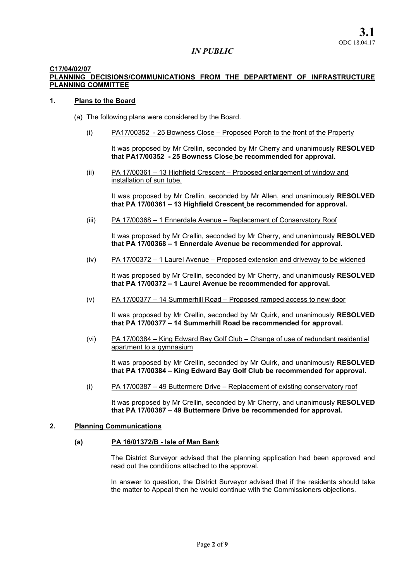#### C17/04/02/07

## PLANNING DECISIONS/COMMUNICATIONS FROM THE DEPARTMENT OF INFRASTRUCTURE PLANNING COMMITTEE

#### 1. Plans to the Board

- (a) The following plans were considered by the Board.
	- (i) PA17/00352 25 Bowness Close Proposed Porch to the front of the Property

It was proposed by Mr Crellin, seconded by Mr Cherry and unanimously RESOLVED that PA17/00352 - 25 Bowness Close be recommended for approval.

(ii) PA 17/00361 – 13 Highfield Crescent – Proposed enlargement of window and installation of sun tube.

It was proposed by Mr Crellin, seconded by Mr Allen, and unanimously RESOLVED that PA 17/00361 – 13 Highfield Crescent be recommended for approval.

(iii) PA 17/00368 – 1 Ennerdale Avenue – Replacement of Conservatory Roof

It was proposed by Mr Crellin, seconded by Mr Cherry, and unanimously RESOLVED that PA 17/00368 – 1 Ennerdale Avenue be recommended for approval.

(iv) PA 17/00372 – 1 Laurel Avenue – Proposed extension and driveway to be widened

It was proposed by Mr Crellin, seconded by Mr Cherry, and unanimously RESOLVED that PA 17/00372 – 1 Laurel Avenue be recommended for approval.

(v) PA 17/00377 – 14 Summerhill Road – Proposed ramped access to new door

It was proposed by Mr Crellin, seconded by Mr Quirk, and unanimously RESOLVED that PA 17/00377 – 14 Summerhill Road be recommended for approval.

(vi) PA 17/00384 – King Edward Bay Golf Club – Change of use of redundant residential apartment to a gymnasium

It was proposed by Mr Crellin, seconded by Mr Quirk, and unanimously RESOLVED that PA 17/00384 – King Edward Bay Golf Club be recommended for approval.

(i) PA 17/00387 – 49 Buttermere Drive – Replacement of existing conservatory roof

It was proposed by Mr Crellin, seconded by Mr Cherry, and unanimously RESOLVED that PA 17/00387 – 49 Buttermere Drive be recommended for approval.

## 2. Planning Communications

## (a) PA 16/01372/B - Isle of Man Bank

The District Surveyor advised that the planning application had been approved and read out the conditions attached to the approval.

In answer to question, the District Surveyor advised that if the residents should take the matter to Appeal then he would continue with the Commissioners objections.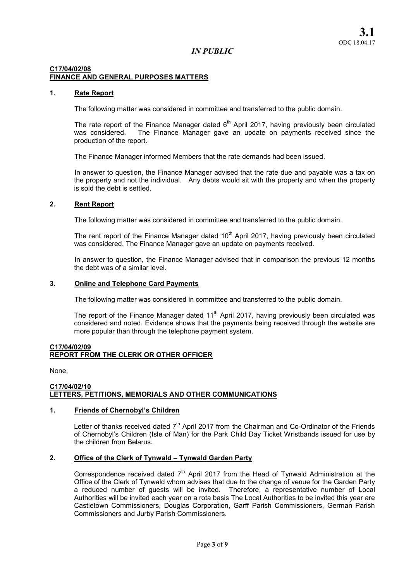## C17/04/02/08 FINANCE AND GENERAL PURPOSES MATTERS

## 1. Rate Report

The following matter was considered in committee and transferred to the public domain.

The rate report of the Finance Manager dated  $6<sup>th</sup>$  April 2017, having previously been circulated was considered. The Finance Manager gave an update on payments received since the production of the report.

The Finance Manager informed Members that the rate demands had been issued.

In answer to question, the Finance Manager advised that the rate due and payable was a tax on the property and not the individual. Any debts would sit with the property and when the property is sold the debt is settled.

### 2. Rent Report

The following matter was considered in committee and transferred to the public domain.

The rent report of the Finance Manager dated 10<sup>th</sup> April 2017, having previously been circulated was considered. The Finance Manager gave an update on payments received.

In answer to question, the Finance Manager advised that in comparison the previous 12 months the debt was of a similar level.

### 3. Online and Telephone Card Payments

The following matter was considered in committee and transferred to the public domain.

The report of the Finance Manager dated  $11<sup>th</sup>$  April 2017, having previously been circulated was considered and noted. Evidence shows that the payments being received through the website are more popular than through the telephone payment system.

### C17/04/02/09 REPORT FROM THE CLERK OR OTHER OFFICER

None.

### C17/04/02/10 LETTERS, PETITIONS, MEMORIALS AND OTHER COMMUNICATIONS

## 1. Friends of Chernobyl's Children

Letter of thanks received dated  $7<sup>th</sup>$  April 2017 from the Chairman and Co-Ordinator of the Friends of Chernobyl's Children (Isle of Man) for the Park Child Day Ticket Wristbands issued for use by the children from Belarus.

## 2. Office of the Clerk of Tynwald – Tynwald Garden Party

Correspondence received dated  $7<sup>th</sup>$  April 2017 from the Head of Tynwald Administration at the Office of the Clerk of Tynwald whom advises that due to the change of venue for the Garden Party a reduced number of guests will be invited. Therefore, a representative number of Local Authorities will be invited each year on a rota basis The Local Authorities to be invited this year are Castletown Commissioners, Douglas Corporation, Garff Parish Commissioners, German Parish Commissioners and Jurby Parish Commissioners.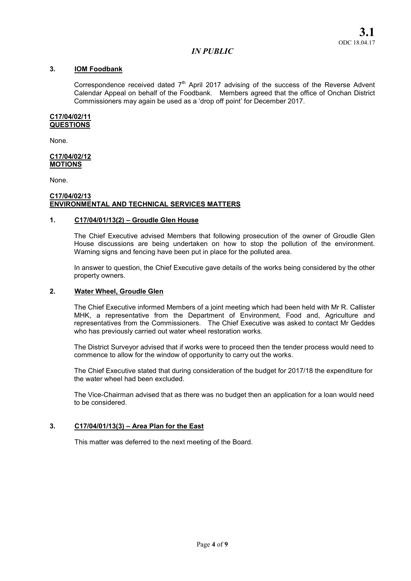## 3. IOM Foodbank

Correspondence received dated  $7<sup>th</sup>$  April 2017 advising of the success of the Reverse Advent Calendar Appeal on behalf of the Foodbank. Members agreed that the office of Onchan District Commissioners may again be used as a 'drop off point' for December 2017.

#### C17/04/02/11 **QUESTIONS**

None.

#### C17/04/02/12 MOTIONS

None.

#### C17/04/02/13 ENVIRONMENTAL AND TECHNICAL SERVICES MATTERS

### 1. C17/04/01/13(2) – Groudle Glen House

The Chief Executive advised Members that following prosecution of the owner of Groudle Glen House discussions are being undertaken on how to stop the pollution of the environment. Warning signs and fencing have been put in place for the polluted area.

In answer to question, the Chief Executive gave details of the works being considered by the other property owners.

### 2. Water Wheel, Groudle Glen

The Chief Executive informed Members of a joint meeting which had been held with Mr R. Callister MHK, a representative from the Department of Environment, Food and, Agriculture and representatives from the Commissioners. The Chief Executive was asked to contact Mr Geddes who has previously carried out water wheel restoration works.

The District Surveyor advised that if works were to proceed then the tender process would need to commence to allow for the window of opportunity to carry out the works.

The Chief Executive stated that during consideration of the budget for 2017/18 the expenditure for the water wheel had been excluded.

The Vice-Chairman advised that as there was no budget then an application for a loan would need to be considered.

## 3. C17/04/01/13(3) – Area Plan for the East

This matter was deferred to the next meeting of the Board.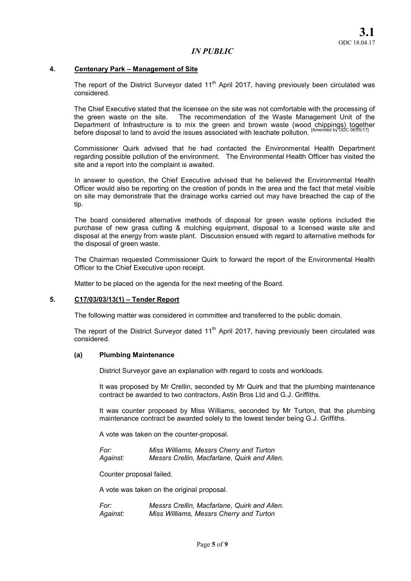### 4. Centenary Park – Management of Site

The report of the District Surveyor dated  $11<sup>th</sup>$  April 2017, having previously been circulated was considered.

The Chief Executive stated that the licensee on the site was not comfortable with the processing of the green waste on the site. The recommendation of the Waste Management Unit of the The recommendation of the Waste Management Unit of the Department of Infrastructure is to mix the green and brown waste (wood chippings) together before disposal to land to avoid the issues associated with leachate pollution. <sup>[Amended by ODC 08/05/17]</sup>

Commissioner Quirk advised that he had contacted the Environmental Health Department regarding possible pollution of the environment. The Environmental Health Officer has visited the site and a report into the complaint is awaited.

In answer to question, the Chief Executive advised that he believed the Environmental Health Officer would also be reporting on the creation of ponds in the area and the fact that metal visible on site may demonstrate that the drainage works carried out may have breached the cap of the tip.

The board considered alternative methods of disposal for green waste options included the purchase of new grass cutting & mulching equipment, disposal to a licensed waste site and disposal at the energy from waste plant. Discussion ensued with regard to alternative methods for the disposal of green waste.

The Chairman requested Commissioner Quirk to forward the report of the Environmental Health Officer to the Chief Executive upon receipt.

Matter to be placed on the agenda for the next meeting of the Board.

### 5. C17/03/03/13(1) – Tender Report

The following matter was considered in committee and transferred to the public domain.

The report of the District Surveyor dated  $11<sup>th</sup>$  April 2017, having previously been circulated was considered.

#### (a) Plumbing Maintenance

District Surveyor gave an explanation with regard to costs and workloads.

It was proposed by Mr Crellin, seconded by Mr Quirk and that the plumbing maintenance contract be awarded to two contractors, Astin Bros Ltd and G.J. Griffiths.

It was counter proposed by Miss Williams, seconded by Mr Turton, that the plumbing maintenance contract be awarded solely to the lowest tender being G.J. Griffiths.

A vote was taken on the counter-proposal.

*For: Miss Williams, Messrs Cherry and Turton Against: Messrs Crellin, Macfarlane, Quirk and Allen.* 

Counter proposal failed.

A vote was taken on the original proposal.

*For: Messrs Crellin, Macfarlane, Quirk and Allen. Against: Miss Williams, Messrs Cherry and Turton*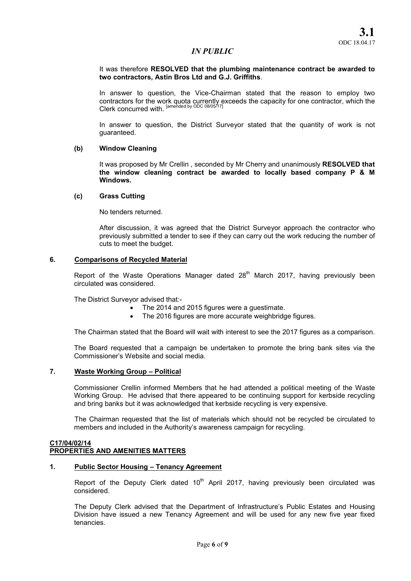### It was therefore RESOLVED that the plumbing maintenance contract be awarded to two contractors, Astin Bros Ltd and G.J. Griffiths.

In answer to question, the Vice-Chairman stated that the reason to employ two contractors for the work quota currently exceeds the capacity for one contractor, which the Clerk concurred with. <sup>[amended by ODC 08/05/17]</sup>

In answer to question, the District Surveyor stated that the quantity of work is not guaranteed.

### (b) Window Cleaning

It was proposed by Mr Crellin, seconded by Mr Cherry and unanimously RESOLVED that the window cleaning contract be awarded to locally based company P & M Windows.

### (c) Grass Cutting

No tenders returned.

After discussion, it was agreed that the District Surveyor approach the contractor who previously submitted a tender to see if they can carry out the work reducing the number of cuts to meet the budget.

## 6. Comparisons of Recycled Material

Report of the Waste Operations Manager dated  $28<sup>th</sup>$  March 2017, having previously been circulated was considered.

The District Surveyor advised that:-

- The 2014 and 2015 figures were a guestimate.
- The 2016 figures are more accurate weighbridge figures.

The Chairman stated that the Board will wait with interest to see the 2017 figures as a comparison.

The Board requested that a campaign be undertaken to promote the bring bank sites via the Commissioner's Website and social media.

#### 7. Waste Working Group – Political

Commissioner Crellin informed Members that he had attended a political meeting of the Waste Working Group. He advised that there appeared to be continuing support for kerbside recycling and bring banks but it was acknowledged that kerbside recycling is very expensive.

The Chairman requested that the list of materials which should not be recycled be circulated to members and included in the Authority's awareness campaign for recycling.

#### C17/04/02/14 PROPERTIES AND AMENITIES MATTERS

#### 1. Public Sector Housing – Tenancy Agreement

Report of the Deputy Clerk dated  $10<sup>th</sup>$  April 2017, having previously been circulated was considered.

The Deputy Clerk advised that the Department of Infrastructure's Public Estates and Housing Division have issued a new Tenancy Agreement and will be used for any new five year fixed tenancies.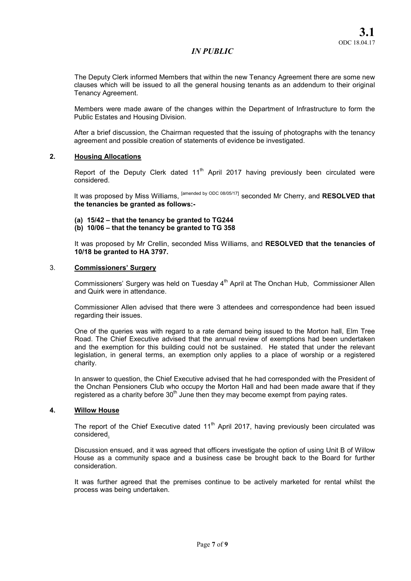The Deputy Clerk informed Members that within the new Tenancy Agreement there are some new clauses which will be issued to all the general housing tenants as an addendum to their original Tenancy Agreement.

Members were made aware of the changes within the Department of Infrastructure to form the Public Estates and Housing Division.

After a brief discussion, the Chairman requested that the issuing of photographs with the tenancy agreement and possible creation of statements of evidence be investigated.

## 2. Housing Allocations

Report of the Deputy Clerk dated  $11<sup>th</sup>$  April 2017 having previously been circulated were considered.

It was proposed by Miss Williams, <sup>[amended by ODC 08/05/17]</sup> seconded Mr Cherry, and RESOLVED that the tenancies be granted as follows:-

- (a) 15/42 that the tenancy be granted to TG244
- (b) 10/06 that the tenancy be granted to TG 358

It was proposed by Mr Crellin, seconded Miss Williams, and RESOLVED that the tenancies of 10/18 be granted to HA 3797.

### 3. Commissioners' Surgery

Commissioners' Surgery was held on Tuesday 4<sup>th</sup> April at The Onchan Hub, Commissioner Allen and Quirk were in attendance.

Commissioner Allen advised that there were 3 attendees and correspondence had been issued regarding their issues.

One of the queries was with regard to a rate demand being issued to the Morton hall, Elm Tree Road. The Chief Executive advised that the annual review of exemptions had been undertaken and the exemption for this building could not be sustained. He stated that under the relevant legislation, in general terms, an exemption only applies to a place of worship or a registered charity.

In answer to question, the Chief Executive advised that he had corresponded with the President of the Onchan Pensioners Club who occupy the Morton Hall and had been made aware that if they registered as a charity before  $30<sup>th</sup>$  June then they may become exempt from paying rates.

#### 4. Willow House

The report of the Chief Executive dated  $11<sup>th</sup>$  April 2017, having previously been circulated was considered.

Discussion ensued, and it was agreed that officers investigate the option of using Unit B of Willow House as a community space and a business case be brought back to the Board for further consideration.

It was further agreed that the premises continue to be actively marketed for rental whilst the process was being undertaken.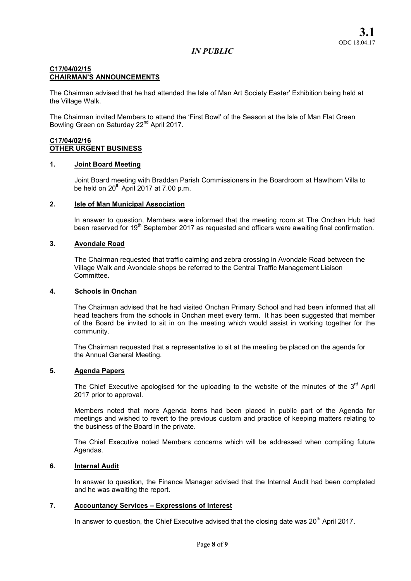## C17/04/02/15 CHAIRMAN'S ANNOUNCEMENTS

The Chairman advised that he had attended the Isle of Man Art Society Easter' Exhibition being held at the Village Walk.

The Chairman invited Members to attend the 'First Bowl' of the Season at the Isle of Man Flat Green Bowling Green on Saturday 22<sup>nd</sup> April 2017.

# C17/04/02/16 OTHER URGENT BUSINESS

## 1. Joint Board Meeting

Joint Board meeting with Braddan Parish Commissioners in the Boardroom at Hawthorn Villa to be held on  $20<sup>th</sup>$  April 2017 at 7.00 p.m.

## 2. Isle of Man Municipal Association

In answer to question, Members were informed that the meeting room at The Onchan Hub had been reserved for 19<sup>th</sup> September 2017 as requested and officers were awaiting final confirmation.

## 3. Avondale Road

The Chairman requested that traffic calming and zebra crossing in Avondale Road between the Village Walk and Avondale shops be referred to the Central Traffic Management Liaison Committee.

## 4. Schools in Onchan

The Chairman advised that he had visited Onchan Primary School and had been informed that all head teachers from the schools in Onchan meet every term. It has been suggested that member of the Board be invited to sit in on the meeting which would assist in working together for the community.

The Chairman requested that a representative to sit at the meeting be placed on the agenda for the Annual General Meeting.

# 5. Agenda Papers

The Chief Executive apologised for the uploading to the website of the minutes of the  $3<sup>rd</sup>$  April 2017 prior to approval.

Members noted that more Agenda items had been placed in public part of the Agenda for meetings and wished to revert to the previous custom and practice of keeping matters relating to the business of the Board in the private.

The Chief Executive noted Members concerns which will be addressed when compiling future Agendas.

# 6. Internal Audit

In answer to question, the Finance Manager advised that the Internal Audit had been completed and he was awaiting the report.

## 7. Accountancy Services – Expressions of Interest

In answer to question, the Chief Executive advised that the closing date was  $20<sup>th</sup>$  April 2017.